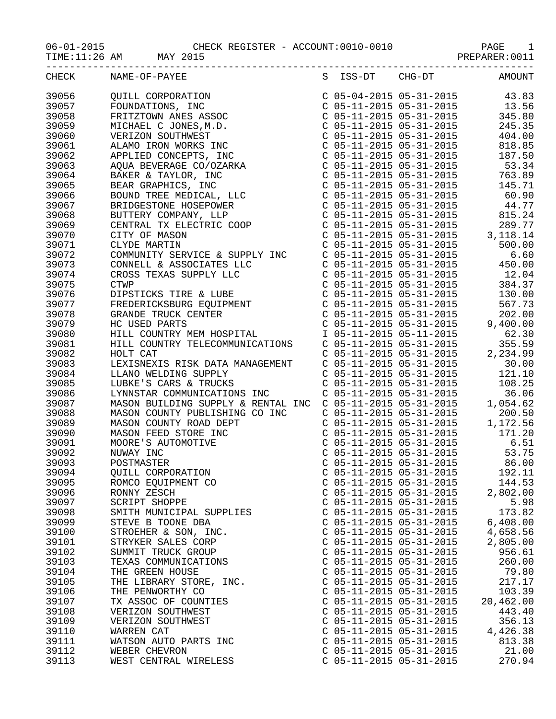|       | TIME:11:26 AM MAY 2015                                                                                                                                                                                                                             |                                                                                                                                                                           |               |
|-------|----------------------------------------------------------------------------------------------------------------------------------------------------------------------------------------------------------------------------------------------------|---------------------------------------------------------------------------------------------------------------------------------------------------------------------------|---------------|
| CHECK | NAME-OF-PAYEE                                                                                                                                                                                                                                      | S ISS-DT CHG-DT                                                                                                                                                           | <b>AMOUNT</b> |
| 39056 | QUILL CORPORATION<br>FOUNDATIONS, INC<br>FRITZTOWN ANES ASSOC<br>MICHAEL C JONES, M.D.<br>VERIZON SOUTHWEST<br>ALAMO IRON WORKS INC<br>APPLIED CONCEPTS, INC<br>AQUA BEVERAGE CO/OZARKA<br>BAKER & TAYLOR, INC<br>BEAR GRAPHICS, INC<br>BEAR GRAPH | $\begin{array}{llll} \mbox{C} & 05-04-2015 & 05-31-2015 & 43.83 \\ \mbox{C} & 05-11-2015 & 05-31-2015 & 13.56 \\ \mbox{C} & 05-11-2015 & 05-31-2015 & 345.80 \end{array}$ |               |
| 39057 |                                                                                                                                                                                                                                                    |                                                                                                                                                                           |               |
| 39058 |                                                                                                                                                                                                                                                    |                                                                                                                                                                           |               |
| 39059 |                                                                                                                                                                                                                                                    | $C$ 05-11-2015 05-31-2015                                                                                                                                                 | 245.35        |
| 39060 |                                                                                                                                                                                                                                                    | $C$ 05-11-2015 05-31-2015                                                                                                                                                 | 404.00        |
| 39061 |                                                                                                                                                                                                                                                    |                                                                                                                                                                           | 818.85        |
| 39062 |                                                                                                                                                                                                                                                    | C 05-11-2015 05-31-2015<br>C 05-11-2015 05-31-2015<br>C 05-11-2015 05-31-2015                                                                                             | 187.50        |
| 39063 |                                                                                                                                                                                                                                                    |                                                                                                                                                                           | 53.34         |
| 39064 |                                                                                                                                                                                                                                                    | C 05-11-2015 05-31-2015 763.89                                                                                                                                            |               |
| 39065 |                                                                                                                                                                                                                                                    | C 05-11-2015 05-31-2015                                                                                                                                                   | 145.71        |
| 39066 |                                                                                                                                                                                                                                                    | $C$ 05-11-2015 05-31-2015                                                                                                                                                 | 60.90         |
| 39067 |                                                                                                                                                                                                                                                    |                                                                                                                                                                           | 44.77         |
| 39068 |                                                                                                                                                                                                                                                    | C 05-11-2015 05-31-2015<br>C 05-11-2015 05-31-2015<br>C 05-11-2015 05-31-2015                                                                                             | 815.24        |
| 39069 |                                                                                                                                                                                                                                                    |                                                                                                                                                                           | 289.77        |
| 39070 |                                                                                                                                                                                                                                                    | $C$ 05-11-2015 05-31-2015 3,118.14                                                                                                                                        |               |
| 39071 |                                                                                                                                                                                                                                                    | $C$ 05-11-2015 05-31-2015                                                                                                                                                 | 500.00        |
| 39072 |                                                                                                                                                                                                                                                    |                                                                                                                                                                           |               |
| 39073 |                                                                                                                                                                                                                                                    |                                                                                                                                                                           |               |
| 39074 |                                                                                                                                                                                                                                                    |                                                                                                                                                                           |               |
| 39075 |                                                                                                                                                                                                                                                    |                                                                                                                                                                           |               |
| 39076 |                                                                                                                                                                                                                                                    |                                                                                                                                                                           |               |
| 39077 |                                                                                                                                                                                                                                                    |                                                                                                                                                                           |               |
| 39078 |                                                                                                                                                                                                                                                    |                                                                                                                                                                           |               |
| 39079 | CONMUNITY SERVICE & SUPPLY INC<br>CONNELL & ASSOCIATES LLC<br>CONNELL & ASSOCIATES LLC<br>CONNELL & ASSOCIATES LLC<br>COS-11-2015 05-31-2015<br>CROSS TEXAS SUPPLY LLC<br>COS-11-2015 05-31-2015<br>CONNELL CONNER COUPMENT<br>COS-11-2015 05-     |                                                                                                                                                                           | 9,400.00      |
| 39080 |                                                                                                                                                                                                                                                    |                                                                                                                                                                           |               |
| 39081 | HILL COUNTRY TELECOMMUNICATIONS C 05-11-2015 05-31-2015                                                                                                                                                                                            |                                                                                                                                                                           | 355.59        |
| 39082 | HOLT CAT                                                                                                                                                                                                                                           | C 05-11-2015 05-31-2015                                                                                                                                                   | 2,234.99      |
| 39083 | LEXISNEXIS RISK DATA MANAGEMENT<br>C 05-11-2015 05-31-2015 30.00<br>C 05-11-2015 05-31-2015 2015                                                                                                                                                   |                                                                                                                                                                           |               |
| 39084 |                                                                                                                                                                                                                                                    |                                                                                                                                                                           | 121.10        |
| 39085 | LLANO WELDING SUPPLY<br>LUBKE'S CARS & TRUCKS<br>LUBKE'S CARS & TRUCKS                                                                                                                                                                             | C 05-11-2015 05-31-2015<br>C 05-11-2015 05-31-2015                                                                                                                        | 108.25        |
| 39086 | LYNNSTAR COMMUNICATIONS INC                                                                                                                                                                                                                        | C 05-11-2015 05-31-2015                                                                                                                                                   | 36.06         |
| 39087 | MASON BUILDING SUPPLY & RENTAL INC C 05-11-2015 05-31-2015                                                                                                                                                                                         |                                                                                                                                                                           | 1,054.62      |
| 39088 | MASON COUNTY PUBLISHING CO INC                                                                                                                                                                                                                     | C 05-11-2015 05-31-2015<br>C 05-11-2015 05-31-2015<br>C 05-11-2015 05-31-2015<br>C 05-11-2015 05-31-2015<br>C 05-11-2015 05-31-2015<br>6.51                               |               |
| 39089 | MASON COUNTY ROAD DEPT<br>MASON FEED STORE INC<br>MOORE'S AUTOMOTIVE<br>NUWAY INC                                                                                                                                                                  |                                                                                                                                                                           |               |
| 39090 |                                                                                                                                                                                                                                                    |                                                                                                                                                                           |               |
| 39091 |                                                                                                                                                                                                                                                    |                                                                                                                                                                           |               |
| 39092 |                                                                                                                                                                                                                                                    | $C$ 05-11-2015 05-31-2015                                                                                                                                                 | 53.75         |
| 39093 | POSTMASTER                                                                                                                                                                                                                                         | $C$ 05-11-2015 05-31-2015                                                                                                                                                 | 86.00         |
| 39094 | QUILL CORPORATION                                                                                                                                                                                                                                  | $C$ 05-11-2015 05-31-2015                                                                                                                                                 | 192.11        |
| 39095 | ROMCO EQUIPMENT CO                                                                                                                                                                                                                                 | $C$ 05-11-2015 05-31-2015                                                                                                                                                 | 144.53        |
| 39096 | RONNY ZESCH                                                                                                                                                                                                                                        | $C$ 05-11-2015 05-31-2015                                                                                                                                                 | 2,802.00      |
| 39097 | SCRIPT SHOPPE                                                                                                                                                                                                                                      | $C$ 05-11-2015 05-31-2015                                                                                                                                                 | 5.98          |
| 39098 | SMITH MUNICIPAL SUPPLIES                                                                                                                                                                                                                           | $C$ 05-11-2015 05-31-2015                                                                                                                                                 | 173.82        |
| 39099 | STEVE B TOONE DBA                                                                                                                                                                                                                                  | $C$ 05-11-2015 05-31-2015                                                                                                                                                 | 6,408.00      |
| 39100 | STROEHER & SON, INC.                                                                                                                                                                                                                               | $C$ 05-11-2015 05-31-2015                                                                                                                                                 | 4,658.56      |
| 39101 | STRYKER SALES CORP                                                                                                                                                                                                                                 | $C$ 05-11-2015 05-31-2015                                                                                                                                                 | 2,805.00      |
| 39102 | SUMMIT TRUCK GROUP                                                                                                                                                                                                                                 | $C$ 05-11-2015 05-31-2015                                                                                                                                                 | 956.61        |
| 39103 | TEXAS COMMUNICATIONS                                                                                                                                                                                                                               | $C$ 05-11-2015 05-31-2015                                                                                                                                                 | 260.00        |
| 39104 | THE GREEN HOUSE                                                                                                                                                                                                                                    | $C$ 05-11-2015 05-31-2015                                                                                                                                                 | 79.80         |
| 39105 | THE LIBRARY STORE, INC.                                                                                                                                                                                                                            | C 05-11-2015 05-31-2015                                                                                                                                                   | 217.17        |
| 39106 | THE PENWORTHY CO                                                                                                                                                                                                                                   | C 05-11-2015 05-31-2015                                                                                                                                                   | 103.39        |
| 39107 | TX ASSOC OF COUNTIES                                                                                                                                                                                                                               | $C$ 05-11-2015 05-31-2015                                                                                                                                                 | 20,462.00     |
| 39108 | VERIZON SOUTHWEST                                                                                                                                                                                                                                  | $C$ 05-11-2015 05-31-2015                                                                                                                                                 | 443.40        |
| 39109 | VERIZON SOUTHWEST                                                                                                                                                                                                                                  | $C$ 05-11-2015 05-31-2015                                                                                                                                                 | 356.13        |
| 39110 | WARREN CAT                                                                                                                                                                                                                                         | C 05-11-2015 05-31-2015                                                                                                                                                   | 4,426.38      |
| 39111 | WATSON AUTO PARTS INC                                                                                                                                                                                                                              | $C$ 05-11-2015 05-31-2015                                                                                                                                                 | 813.38        |
| 39112 | WEBER CHEVRON                                                                                                                                                                                                                                      | $C$ 05-11-2015 05-31-2015                                                                                                                                                 | 21.00         |
| 39113 | WEST CENTRAL WIRELESS                                                                                                                                                                                                                              | $C$ 05-11-2015 05-31-2015                                                                                                                                                 | 270.94        |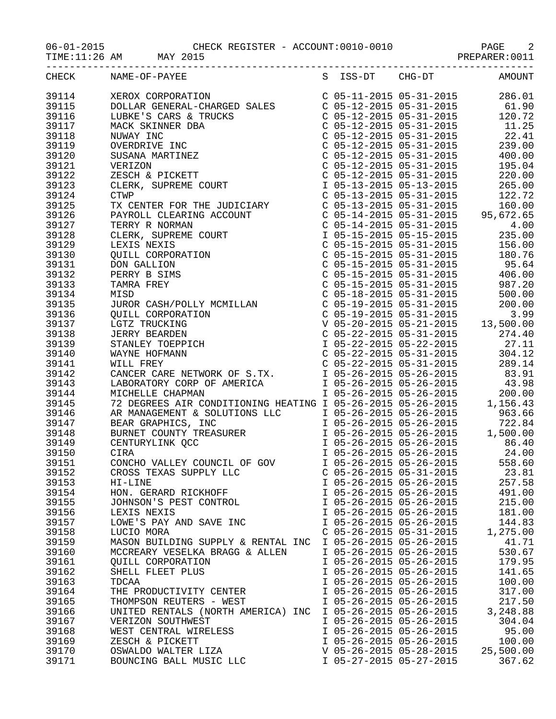TIME:11:26 AM MAY 2015 **PREPARER:0011** 

| CHECK | S ISS-DT CHG-DT AMOUNT<br>NAME-OF-PAYEE                                                                                                                                                                                              |                           |                           |           |
|-------|--------------------------------------------------------------------------------------------------------------------------------------------------------------------------------------------------------------------------------------|---------------------------|---------------------------|-----------|
|       |                                                                                                                                                                                                                                      |                           |                           |           |
|       |                                                                                                                                                                                                                                      |                           |                           |           |
|       |                                                                                                                                                                                                                                      |                           |                           |           |
|       |                                                                                                                                                                                                                                      |                           |                           |           |
|       |                                                                                                                                                                                                                                      |                           |                           |           |
|       |                                                                                                                                                                                                                                      |                           |                           |           |
|       |                                                                                                                                                                                                                                      |                           |                           |           |
|       |                                                                                                                                                                                                                                      |                           |                           |           |
|       |                                                                                                                                                                                                                                      |                           |                           |           |
|       |                                                                                                                                                                                                                                      |                           |                           |           |
|       |                                                                                                                                                                                                                                      |                           |                           |           |
|       |                                                                                                                                                                                                                                      |                           |                           |           |
|       |                                                                                                                                                                                                                                      |                           |                           |           |
|       |                                                                                                                                                                                                                                      |                           |                           |           |
|       |                                                                                                                                                                                                                                      |                           |                           |           |
|       |                                                                                                                                                                                                                                      |                           |                           |           |
|       |                                                                                                                                                                                                                                      |                           |                           |           |
|       |                                                                                                                                                                                                                                      |                           |                           |           |
|       |                                                                                                                                                                                                                                      |                           |                           |           |
|       |                                                                                                                                                                                                                                      |                           |                           |           |
|       |                                                                                                                                                                                                                                      |                           |                           |           |
|       |                                                                                                                                                                                                                                      |                           |                           |           |
|       |                                                                                                                                                                                                                                      |                           |                           |           |
|       |                                                                                                                                                                                                                                      |                           |                           |           |
|       |                                                                                                                                                                                                                                      |                           |                           |           |
|       |                                                                                                                                                                                                                                      |                           |                           |           |
|       |                                                                                                                                                                                                                                      |                           |                           |           |
|       |                                                                                                                                                                                                                                      |                           |                           |           |
|       |                                                                                                                                                                                                                                      |                           |                           |           |
|       |                                                                                                                                                                                                                                      |                           |                           |           |
|       |                                                                                                                                                                                                                                      |                           |                           |           |
|       |                                                                                                                                                                                                                                      |                           |                           |           |
|       |                                                                                                                                                                                                                                      |                           |                           |           |
|       |                                                                                                                                                                                                                                      |                           |                           |           |
|       | 39145 72 DEGREES AIR CONDITIONING HEATING 1 05-26-2015 05-26-2015 1,156.43<br>39146 AR MANAGEMENT & SOLUTIONS LLC 1 05-26-2015 05-26-2015 963.66<br>39147 BEAR GRAPHICS, INC 1 05-26-2015 05-26-2015 722.84<br>39148 BURNET COUNTY T |                           |                           |           |
|       |                                                                                                                                                                                                                                      |                           |                           |           |
|       |                                                                                                                                                                                                                                      |                           |                           |           |
|       |                                                                                                                                                                                                                                      |                           |                           |           |
|       |                                                                                                                                                                                                                                      |                           |                           |           |
|       |                                                                                                                                                                                                                                      |                           |                           |           |
| 39152 | CROSS TEXAS SUPPLY LLC                                                                                                                                                                                                               |                           | $C$ 05-26-2015 05-31-2015 | 23.81     |
| 39153 | HI-LINE                                                                                                                                                                                                                              | I 05-26-2015 05-26-2015   |                           | 257.58    |
| 39154 | HON. GERARD RICKHOFF                                                                                                                                                                                                                 | I 05-26-2015 05-26-2015   |                           | 491.00    |
| 39155 | JOHNSON'S PEST CONTROL                                                                                                                                                                                                               |                           | I 05-26-2015 05-26-2015   | 215.00    |
| 39156 | LEXIS NEXIS                                                                                                                                                                                                                          |                           | I 05-26-2015 05-26-2015   | 181.00    |
| 39157 | LOWE'S PAY AND SAVE INC                                                                                                                                                                                                              | I 05-26-2015 05-26-2015   |                           | 144.83    |
| 39158 | LUCIO MORA                                                                                                                                                                                                                           | $C$ 05-26-2015 05-31-2015 |                           | 1,275.00  |
| 39159 | MASON BUILDING SUPPLY & RENTAL INC                                                                                                                                                                                                   | I 05-26-2015 05-26-2015   |                           | 41.71     |
| 39160 | MCCREARY VESELKA BRAGG & ALLEN                                                                                                                                                                                                       | I 05-26-2015 05-26-2015   |                           | 530.67    |
| 39161 | QUILL CORPORATION                                                                                                                                                                                                                    | I 05-26-2015 05-26-2015   |                           | 179.95    |
| 39162 | SHELL FLEET PLUS                                                                                                                                                                                                                     | I 05-26-2015 05-26-2015   |                           | 141.65    |
| 39163 | TDCAA                                                                                                                                                                                                                                | I 05-26-2015 05-26-2015   |                           | 100.00    |
| 39164 | THE PRODUCTIVITY CENTER                                                                                                                                                                                                              | I 05-26-2015 05-26-2015   |                           | 317.00    |
| 39165 | THOMPSON REUTERS - WEST                                                                                                                                                                                                              | I 05-26-2015 05-26-2015   |                           | 217.50    |
| 39166 | UNITED RENTALS (NORTH AMERICA) INC                                                                                                                                                                                                   | I 05-26-2015 05-26-2015   |                           | 3,248.88  |
| 39167 | VERIZON SOUTHWEST                                                                                                                                                                                                                    | I 05-26-2015 05-26-2015   |                           | 304.04    |
| 39168 | WEST CENTRAL WIRELESS                                                                                                                                                                                                                | I 05-26-2015 05-26-2015   |                           | 95.00     |
| 39169 | ZESCH & PICKETT                                                                                                                                                                                                                      | I 05-26-2015 05-26-2015   |                           | 100.00    |
| 39170 | OSWALDO WALTER LIZA                                                                                                                                                                                                                  | V 05-26-2015 05-28-2015   |                           | 25,500.00 |
| 39171 | BOUNCING BALL MUSIC LLC                                                                                                                                                                                                              | I 05-27-2015 05-27-2015   |                           | 367.62    |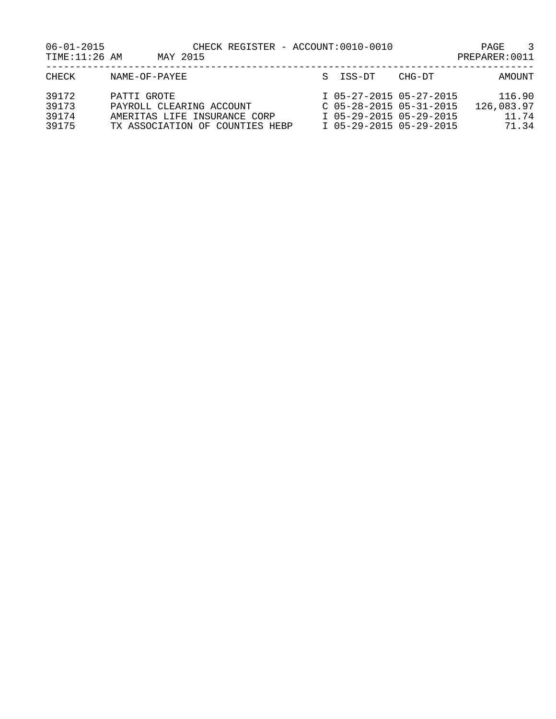| $06 - 01 - 2015$<br>TIME: 11:26 AM | MAY 2015                                                                                                   | CHECK REGISTER - ACCOUNT:0010-0010                                                                         | 3<br>PAGE<br>PREPARER: 0011            |
|------------------------------------|------------------------------------------------------------------------------------------------------------|------------------------------------------------------------------------------------------------------------|----------------------------------------|
| CHECK                              | NAME-OF-PAYEE                                                                                              | S ISS-DT                                                                                                   | CHG-DT<br>AMOUNT                       |
| 39172<br>39173<br>39174<br>39175   | PATTI GROTE<br>PAYROLL CLEARING ACCOUNT<br>AMERITAS LIFE INSURANCE CORP<br>TX ASSOCIATION OF COUNTIES HEBP | I 05-27-2015 05-27-2015<br>$C$ 05-28-2015 05-31-2015<br>I 05-29-2015 05-29-2015<br>I 05-29-2015 05-29-2015 | 116.90<br>126,083.97<br>11.74<br>71.34 |